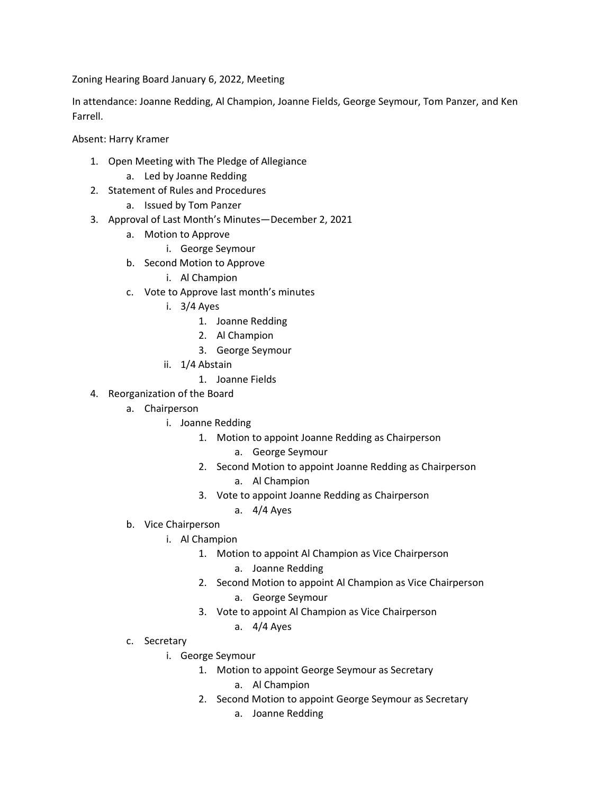Zoning Hearing Board January 6, 2022, Meeting

In attendance: Joanne Redding, Al Champion, Joanne Fields, George Seymour, Tom Panzer, and Ken Farrell.

Absent: Harry Kramer

- 1. Open Meeting with The Pledge of Allegiance
	- a. Led by Joanne Redding
- 2. Statement of Rules and Procedures
	- a. Issued by Tom Panzer
- 3. Approval of Last Month's Minutes—December 2, 2021
	- a. Motion to Approve
		- i. George Seymour
	- b. Second Motion to Approve
		- i. Al Champion
	- c. Vote to Approve last month's minutes
		- i. 3/4 Ayes
			- 1. Joanne Redding
			- 2. Al Champion
			- 3. George Seymour
		- ii. 1/4 Abstain
			- 1. Joanne Fields
- 4. Reorganization of the Board
	- a. Chairperson
		- i. Joanne Redding
			- 1. Motion to appoint Joanne Redding as Chairperson
				- a. George Seymour
			- 2. Second Motion to appoint Joanne Redding as Chairperson
				- a. Al Champion
			- 3. Vote to appoint Joanne Redding as Chairperson
				- a. 4/4 Ayes
	- b. Vice Chairperson
		- i. Al Champion
			- 1. Motion to appoint Al Champion as Vice Chairperson
				- a. Joanne Redding
			- 2. Second Motion to appoint Al Champion as Vice Chairperson
				- a. George Seymour
			- 3. Vote to appoint Al Champion as Vice Chairperson
				- a. 4/4 Ayes
	- c. Secretary
		- i. George Seymour
			- 1. Motion to appoint George Seymour as Secretary
				- a. Al Champion
			- 2. Second Motion to appoint George Seymour as Secretary
				- a. Joanne Redding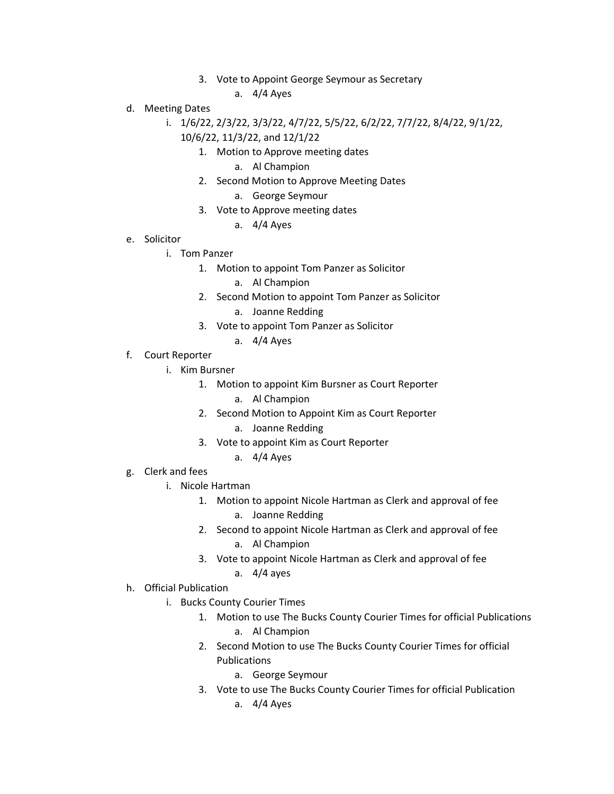- 3. Vote to Appoint George Seymour as Secretary
	- a. 4/4 Ayes
- d. Meeting Dates
	- i. 1/6/22, 2/3/22, 3/3/22, 4/7/22, 5/5/22, 6/2/22, 7/7/22, 8/4/22, 9/1/22, 10/6/22, 11/3/22, and 12/1/22
		- 1. Motion to Approve meeting dates
			- a. Al Champion
		- 2. Second Motion to Approve Meeting Dates
			- a. George Seymour
		- 3. Vote to Approve meeting dates
			- a. 4/4 Ayes
- e. Solicitor
	- i. Tom Panzer
		- 1. Motion to appoint Tom Panzer as Solicitor
			- a. Al Champion
		- 2. Second Motion to appoint Tom Panzer as Solicitor a. Joanne Redding
		- 3. Vote to appoint Tom Panzer as Solicitor
			- a. 4/4 Ayes
- f. Court Reporter
	- i. Kim Bursner
		- 1. Motion to appoint Kim Bursner as Court Reporter
			- a. Al Champion
		- 2. Second Motion to Appoint Kim as Court Reporter
			- a. Joanne Redding
		- 3. Vote to appoint Kim as Court Reporter
			- a. 4/4 Ayes
- g. Clerk and fees
	- i. Nicole Hartman
		- 1. Motion to appoint Nicole Hartman as Clerk and approval of fee a. Joanne Redding
		- 2. Second to appoint Nicole Hartman as Clerk and approval of fee a. Al Champion
		- 3. Vote to appoint Nicole Hartman as Clerk and approval of fee a. 4/4 ayes
- h. Official Publication
	- i. Bucks County Courier Times
		- 1. Motion to use The Bucks County Courier Times for official Publications
			- a. Al Champion
		- 2. Second Motion to use The Bucks County Courier Times for official Publications
			- a. George Seymour
		- 3. Vote to use The Bucks County Courier Times for official Publication a. 4/4 Ayes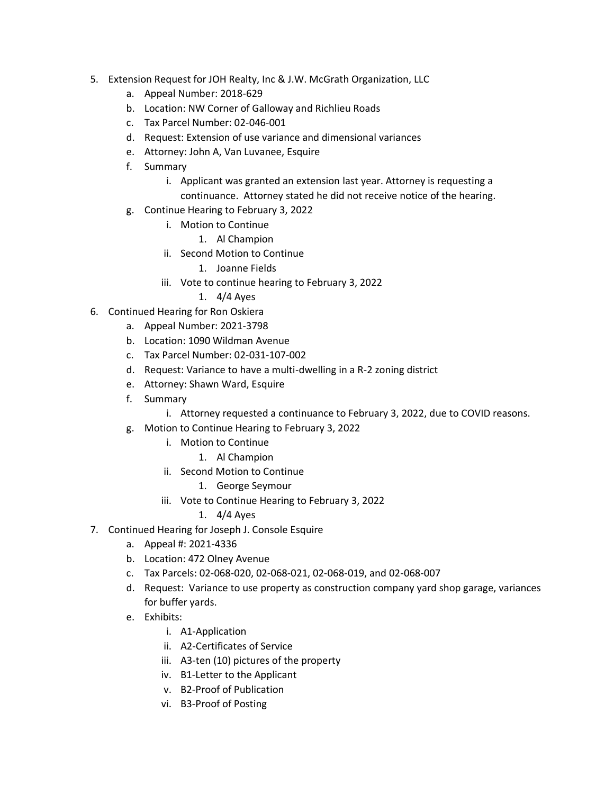- 5. Extension Request for JOH Realty, Inc & J.W. McGrath Organization, LLC
	- a. Appeal Number: 2018-629
	- b. Location: NW Corner of Galloway and Richlieu Roads
	- c. Tax Parcel Number: 02-046-001
	- d. Request: Extension of use variance and dimensional variances
	- e. Attorney: John A, Van Luvanee, Esquire
	- f. Summary
		- i. Applicant was granted an extension last year. Attorney is requesting a continuance. Attorney stated he did not receive notice of the hearing.
	- g. Continue Hearing to February 3, 2022
		- i. Motion to Continue
			- 1. Al Champion
		- ii. Second Motion to Continue
			- 1. Joanne Fields
		- iii. Vote to continue hearing to February 3, 2022
			- 1. 4/4 Ayes
- 6. Continued Hearing for Ron Oskiera
	- a. Appeal Number: 2021-3798
	- b. Location: 1090 Wildman Avenue
	- c. Tax Parcel Number: 02-031-107-002
	- d. Request: Variance to have a multi-dwelling in a R-2 zoning district
	- e. Attorney: Shawn Ward, Esquire
	- f. Summary
		- i. Attorney requested a continuance to February 3, 2022, due to COVID reasons.
	- g. Motion to Continue Hearing to February 3, 2022
		- i. Motion to Continue
			- 1. Al Champion
		- ii. Second Motion to Continue
			- 1. George Seymour
		- iii. Vote to Continue Hearing to February 3, 2022
			- 1. 4/4 Ayes
- 7. Continued Hearing for Joseph J. Console Esquire
	- a. Appeal #: 2021-4336
	- b. Location: 472 Olney Avenue
	- c. Tax Parcels: 02-068-020, 02-068-021, 02-068-019, and 02-068-007
	- d. Request: Variance to use property as construction company yard shop garage, variances for buffer yards.
	- e. Exhibits:
		- i. A1-Application
		- ii. A2-Certificates of Service
		- iii. A3-ten (10) pictures of the property
		- iv. B1-Letter to the Applicant
		- v. B2-Proof of Publication
		- vi. B3-Proof of Posting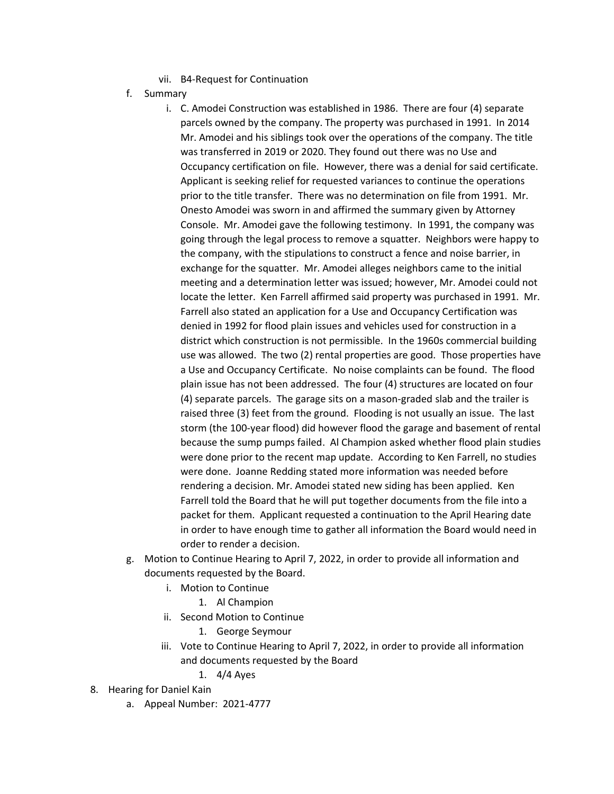- vii. B4-Request for Continuation
- f. Summary
	- i. C. Amodei Construction was established in 1986. There are four (4) separate parcels owned by the company. The property was purchased in 1991. In 2014 Mr. Amodei and his siblings took over the operations of the company. The title was transferred in 2019 or 2020. They found out there was no Use and Occupancy certification on file. However, there was a denial for said certificate. Applicant is seeking relief for requested variances to continue the operations prior to the title transfer. There was no determination on file from 1991. Mr. Onesto Amodei was sworn in and affirmed the summary given by Attorney Console. Mr. Amodei gave the following testimony. In 1991, the company was going through the legal process to remove a squatter. Neighbors were happy to the company, with the stipulations to construct a fence and noise barrier, in exchange for the squatter. Mr. Amodei alleges neighbors came to the initial meeting and a determination letter was issued; however, Mr. Amodei could not locate the letter. Ken Farrell affirmed said property was purchased in 1991. Mr. Farrell also stated an application for a Use and Occupancy Certification was denied in 1992 for flood plain issues and vehicles used for construction in a district which construction is not permissible. In the 1960s commercial building use was allowed. The two (2) rental properties are good. Those properties have a Use and Occupancy Certificate. No noise complaints can be found. The flood plain issue has not been addressed. The four (4) structures are located on four (4) separate parcels. The garage sits on a mason-graded slab and the trailer is raised three (3) feet from the ground. Flooding is not usually an issue. The last storm (the 100-year flood) did however flood the garage and basement of rental because the sump pumps failed. Al Champion asked whether flood plain studies were done prior to the recent map update. According to Ken Farrell, no studies were done. Joanne Redding stated more information was needed before rendering a decision. Mr. Amodei stated new siding has been applied. Ken Farrell told the Board that he will put together documents from the file into a packet for them. Applicant requested a continuation to the April Hearing date in order to have enough time to gather all information the Board would need in order to render a decision.
- g. Motion to Continue Hearing to April 7, 2022, in order to provide all information and documents requested by the Board.
	- i. Motion to Continue
		- 1. Al Champion
	- ii. Second Motion to Continue
		- 1. George Seymour
	- iii. Vote to Continue Hearing to April 7, 2022, in order to provide all information and documents requested by the Board
		- 1. 4/4 Ayes
- 8. Hearing for Daniel Kain
	- a. Appeal Number: 2021-4777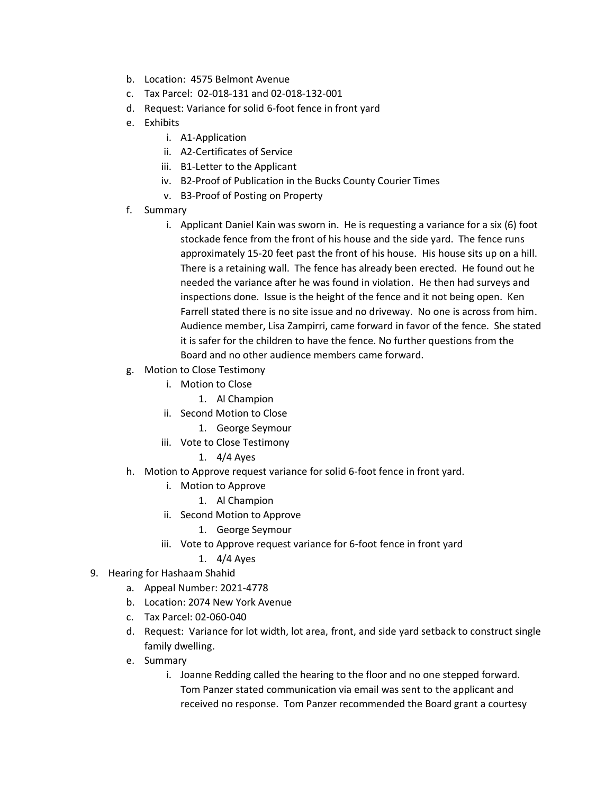- b. Location: 4575 Belmont Avenue
- c. Tax Parcel: 02-018-131 and 02-018-132-001
- d. Request: Variance for solid 6-foot fence in front yard
- e. Exhibits
	- i. A1-Application
	- ii. A2-Certificates of Service
	- iii. B1-Letter to the Applicant
	- iv. B2-Proof of Publication in the Bucks County Courier Times
	- v. B3-Proof of Posting on Property
- f. Summary
	- i. Applicant Daniel Kain was sworn in. He is requesting a variance for a six (6) foot stockade fence from the front of his house and the side yard. The fence runs approximately 15-20 feet past the front of his house. His house sits up on a hill. There is a retaining wall. The fence has already been erected. He found out he needed the variance after he was found in violation. He then had surveys and inspections done. Issue is the height of the fence and it not being open. Ken Farrell stated there is no site issue and no driveway. No one is across from him. Audience member, Lisa Zampirri, came forward in favor of the fence. She stated it is safer for the children to have the fence. No further questions from the Board and no other audience members came forward.
- g. Motion to Close Testimony
	- i. Motion to Close
		- 1. Al Champion
	- ii. Second Motion to Close
		- 1. George Seymour
	- iii. Vote to Close Testimony
		- 1. 4/4 Ayes
- h. Motion to Approve request variance for solid 6-foot fence in front yard.
	- i. Motion to Approve
		- 1. Al Champion
	- ii. Second Motion to Approve
		- 1. George Seymour
	- iii. Vote to Approve request variance for 6-foot fence in front yard
		- 1. 4/4 Ayes
- 9. Hearing for Hashaam Shahid
	- a. Appeal Number: 2021-4778
	- b. Location: 2074 New York Avenue
	- c. Tax Parcel: 02-060-040
	- d. Request: Variance for lot width, lot area, front, and side yard setback to construct single family dwelling.
	- e. Summary
		- i. Joanne Redding called the hearing to the floor and no one stepped forward. Tom Panzer stated communication via email was sent to the applicant and received no response. Tom Panzer recommended the Board grant a courtesy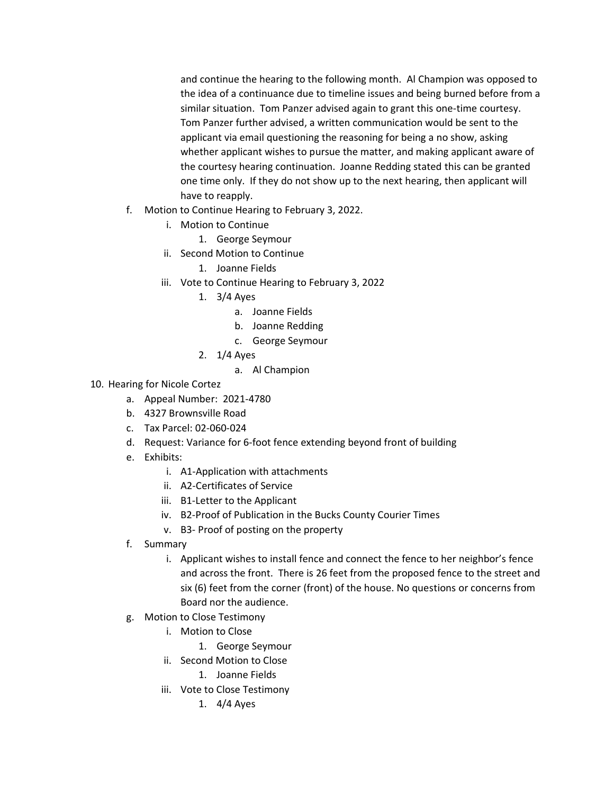and continue the hearing to the following month. Al Champion was opposed to the idea of a continuance due to timeline issues and being burned before from a similar situation. Tom Panzer advised again to grant this one-time courtesy. Tom Panzer further advised, a written communication would be sent to the applicant via email questioning the reasoning for being a no show, asking whether applicant wishes to pursue the matter, and making applicant aware of the courtesy hearing continuation. Joanne Redding stated this can be granted one time only. If they do not show up to the next hearing, then applicant will have to reapply.

- f. Motion to Continue Hearing to February 3, 2022.
	- i. Motion to Continue
		- 1. George Seymour
	- ii. Second Motion to Continue
		- 1. Joanne Fields
	- iii. Vote to Continue Hearing to February 3, 2022
		- 1. 3/4 Ayes
			- a. Joanne Fields
			- b. Joanne Redding
			- c. George Seymour
		- 2. 1/4 Ayes
			- a. Al Champion
- 10. Hearing for Nicole Cortez
	- a. Appeal Number: 2021-4780
	- b. 4327 Brownsville Road
	- c. Tax Parcel: 02-060-024
	- d. Request: Variance for 6-foot fence extending beyond front of building
	- e. Exhibits:
		- i. A1-Application with attachments
		- ii. A2-Certificates of Service
		- iii. B1-Letter to the Applicant
		- iv. B2-Proof of Publication in the Bucks County Courier Times
		- v. B3- Proof of posting on the property
	- f. Summary
		- i. Applicant wishes to install fence and connect the fence to her neighbor's fence and across the front. There is 26 feet from the proposed fence to the street and six (6) feet from the corner (front) of the house. No questions or concerns from Board nor the audience.
	- g. Motion to Close Testimony
		- i. Motion to Close
			- 1. George Seymour
		- ii. Second Motion to Close
			- 1. Joanne Fields
		- iii. Vote to Close Testimony
			- 1. 4/4 Ayes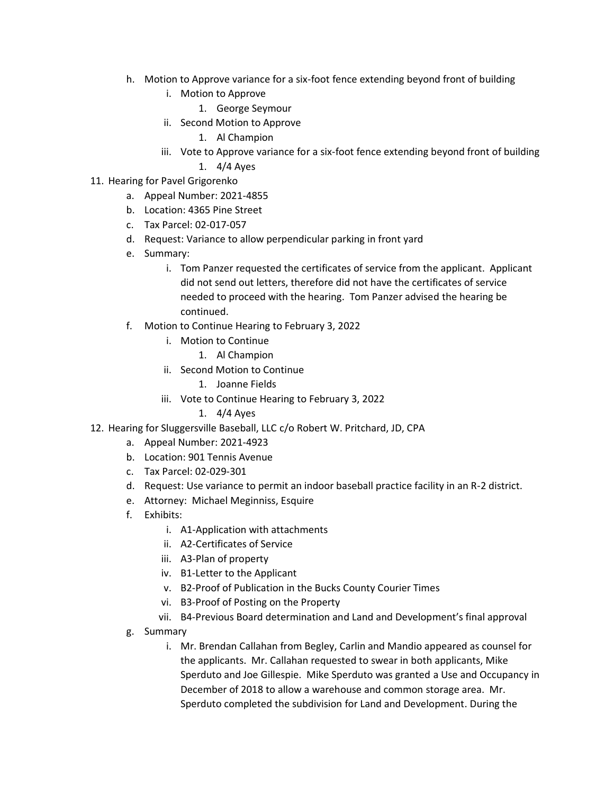- h. Motion to Approve variance for a six-foot fence extending beyond front of building
	- i. Motion to Approve
		- 1. George Seymour
	- ii. Second Motion to Approve
		- 1. Al Champion
	- iii. Vote to Approve variance for a six-foot fence extending beyond front of building 1. 4/4 Ayes
- 11. Hearing for Pavel Grigorenko
	- a. Appeal Number: 2021-4855
	- b. Location: 4365 Pine Street
	- c. Tax Parcel: 02-017-057
	- d. Request: Variance to allow perpendicular parking in front yard
	- e. Summary:
		- i. Tom Panzer requested the certificates of service from the applicant. Applicant did not send out letters, therefore did not have the certificates of service needed to proceed with the hearing. Tom Panzer advised the hearing be continued.
	- f. Motion to Continue Hearing to February 3, 2022
		- i. Motion to Continue
			- 1. Al Champion
		- ii. Second Motion to Continue
			- 1. Joanne Fields
		- iii. Vote to Continue Hearing to February 3, 2022
			- 1. 4/4 Ayes
- 12. Hearing for Sluggersville Baseball, LLC c/o Robert W. Pritchard, JD, CPA
	- a. Appeal Number: 2021-4923
	- b. Location: 901 Tennis Avenue
	- c. Tax Parcel: 02-029-301
	- d. Request: Use variance to permit an indoor baseball practice facility in an R-2 district.
	- e. Attorney: Michael Meginniss, Esquire
	- f. Exhibits:
		- i. A1-Application with attachments
		- ii. A2-Certificates of Service
		- iii. A3-Plan of property
		- iv. B1-Letter to the Applicant
		- v. B2-Proof of Publication in the Bucks County Courier Times
		- vi. B3-Proof of Posting on the Property
		- vii. B4-Previous Board determination and Land and Development's final approval
	- g. Summary
		- i. Mr. Brendan Callahan from Begley, Carlin and Mandio appeared as counsel for the applicants. Mr. Callahan requested to swear in both applicants, Mike Sperduto and Joe Gillespie. Mike Sperduto was granted a Use and Occupancy in December of 2018 to allow a warehouse and common storage area. Mr. Sperduto completed the subdivision for Land and Development. During the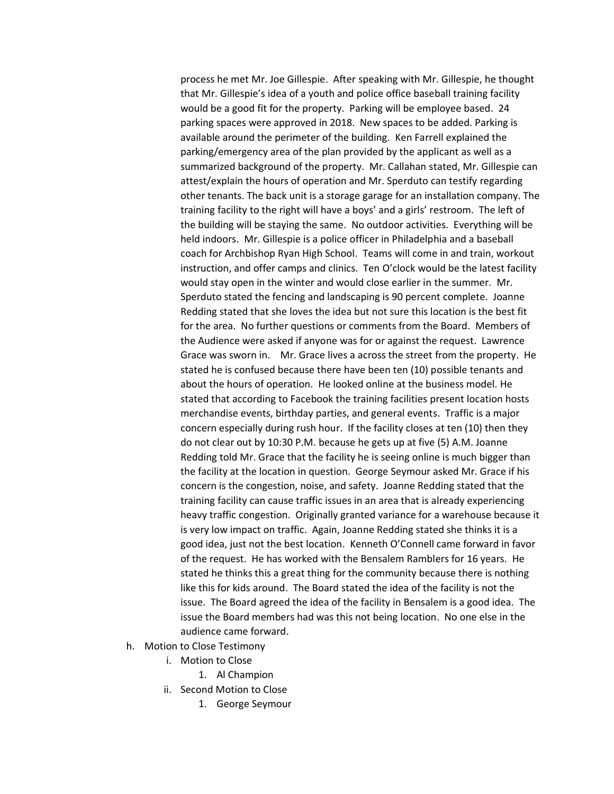process he met Mr. Joe Gillespie. After speaking with Mr. Gillespie, he thought that Mr. Gillespie's idea of a youth and police office baseball training facility would be a good fit for the property. Parking will be employee based. 24 parking spaces were approved in 2018. New spaces to be added. Parking is available around the perimeter of the building. Ken Farrell explained the parking/emergency area of the plan provided by the applicant as well as a summarized background of the property. Mr. Callahan stated, Mr. Gillespie can attest/explain the hours of operation and Mr. Sperduto can testify regarding other tenants. The back unit is a storage garage for an installation company. The training facility to the right will have a boys' and a girls' restroom. The left of the building will be staying the same. No outdoor activities. Everything will be held indoors. Mr. Gillespie is a police officer in Philadelphia and a baseball coach for Archbishop Ryan High School. Teams will come in and train, workout instruction, and offer camps and clinics. Ten O'clock would be the latest facility would stay open in the winter and would close earlier in the summer. Mr. Sperduto stated the fencing and landscaping is 90 percent complete. Joanne Redding stated that she loves the idea but not sure this location is the best fit for the area. No further questions or comments from the Board. Members of the Audience were asked if anyone was for or against the request. Lawrence Grace was sworn in. Mr. Grace lives a across the street from the property. He stated he is confused because there have been ten (10) possible tenants and about the hours of operation. He looked online at the business model. He stated that according to Facebook the training facilities present location hosts merchandise events, birthday parties, and general events. Traffic is a major concern especially during rush hour. If the facility closes at ten (10) then they do not clear out by 10:30 P.M. because he gets up at five (5) A.M. Joanne Redding told Mr. Grace that the facility he is seeing online is much bigger than the facility at the location in question. George Seymour asked Mr. Grace if his concern is the congestion, noise, and safety. Joanne Redding stated that the training facility can cause traffic issues in an area that is already experiencing heavy traffic congestion. Originally granted variance for a warehouse because it is very low impact on traffic. Again, Joanne Redding stated she thinks it is a good idea, just not the best location. Kenneth O'Connell came forward in favor of the request. He has worked with the Bensalem Ramblers for 16 years. He stated he thinks this a great thing for the community because there is nothing like this for kids around. The Board stated the idea of the facility is not the issue. The Board agreed the idea of the facility in Bensalem is a good idea. The issue the Board members had was this not being location. No one else in the audience came forward.

- h. Motion to Close Testimony
	- i. Motion to Close
		- 1. Al Champion
	- ii. Second Motion to Close
		- 1. George Seymour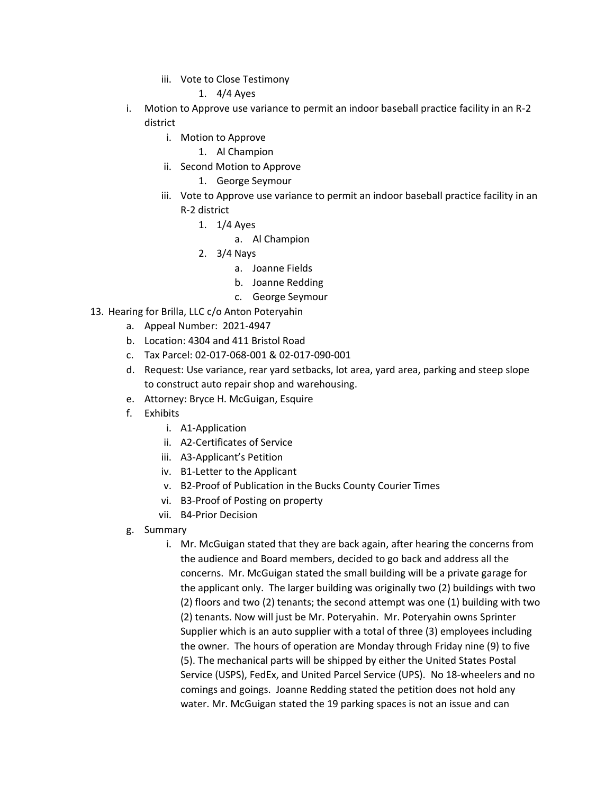iii. Vote to Close Testimony

1. 4/4 Ayes

- i. Motion to Approve use variance to permit an indoor baseball practice facility in an R-2 district
	- i. Motion to Approve
		- 1. Al Champion
	- ii. Second Motion to Approve
		- 1. George Seymour
	- iii. Vote to Approve use variance to permit an indoor baseball practice facility in an R-2 district
		- 1. 1/4 Ayes
			- a. Al Champion
		- 2. 3/4 Nays
			- a. Joanne Fields
			- b. Joanne Redding
			- c. George Seymour
- 13. Hearing for Brilla, LLC c/o Anton Poteryahin
	- a. Appeal Number: 2021-4947
	- b. Location: 4304 and 411 Bristol Road
	- c. Tax Parcel: 02-017-068-001 & 02-017-090-001
	- d. Request: Use variance, rear yard setbacks, lot area, yard area, parking and steep slope to construct auto repair shop and warehousing.
	- e. Attorney: Bryce H. McGuigan, Esquire
	- f. Exhibits
		- i. A1-Application
		- ii. A2-Certificates of Service
		- iii. A3-Applicant's Petition
		- iv. B1-Letter to the Applicant
		- v. B2-Proof of Publication in the Bucks County Courier Times
		- vi. B3-Proof of Posting on property
		- vii. B4-Prior Decision
	- g. Summary
		- i. Mr. McGuigan stated that they are back again, after hearing the concerns from the audience and Board members, decided to go back and address all the concerns. Mr. McGuigan stated the small building will be a private garage for the applicant only. The larger building was originally two (2) buildings with two (2) floors and two (2) tenants; the second attempt was one (1) building with two (2) tenants. Now will just be Mr. Poteryahin. Mr. Poteryahin owns Sprinter Supplier which is an auto supplier with a total of three (3) employees including the owner. The hours of operation are Monday through Friday nine (9) to five (5). The mechanical parts will be shipped by either the United States Postal Service (USPS), FedEx, and United Parcel Service (UPS). No 18-wheelers and no comings and goings. Joanne Redding stated the petition does not hold any water. Mr. McGuigan stated the 19 parking spaces is not an issue and can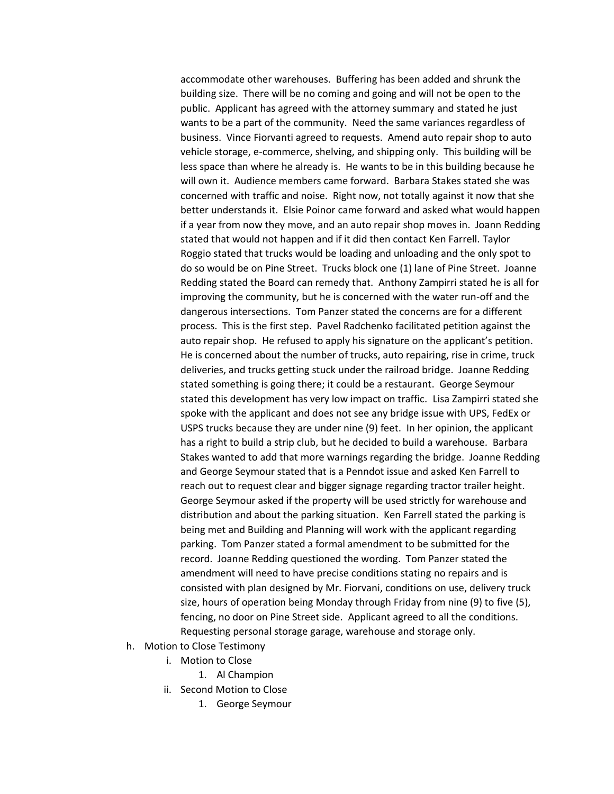accommodate other warehouses. Buffering has been added and shrunk the building size. There will be no coming and going and will not be open to the public. Applicant has agreed with the attorney summary and stated he just wants to be a part of the community. Need the same variances regardless of business. Vince Fiorvanti agreed to requests. Amend auto repair shop to auto vehicle storage, e-commerce, shelving, and shipping only. This building will be less space than where he already is. He wants to be in this building because he will own it. Audience members came forward. Barbara Stakes stated she was concerned with traffic and noise. Right now, not totally against it now that she better understands it. Elsie Poinor came forward and asked what would happen if a year from now they move, and an auto repair shop moves in. Joann Redding stated that would not happen and if it did then contact Ken Farrell. Taylor Roggio stated that trucks would be loading and unloading and the only spot to do so would be on Pine Street. Trucks block one (1) lane of Pine Street. Joanne Redding stated the Board can remedy that. Anthony Zampirri stated he is all for improving the community, but he is concerned with the water run-off and the dangerous intersections. Tom Panzer stated the concerns are for a different process. This is the first step. Pavel Radchenko facilitated petition against the auto repair shop. He refused to apply his signature on the applicant's petition. He is concerned about the number of trucks, auto repairing, rise in crime, truck deliveries, and trucks getting stuck under the railroad bridge. Joanne Redding stated something is going there; it could be a restaurant. George Seymour stated this development has very low impact on traffic. Lisa Zampirri stated she spoke with the applicant and does not see any bridge issue with UPS, FedEx or USPS trucks because they are under nine (9) feet. In her opinion, the applicant has a right to build a strip club, but he decided to build a warehouse. Barbara Stakes wanted to add that more warnings regarding the bridge. Joanne Redding and George Seymour stated that is a Penndot issue and asked Ken Farrell to reach out to request clear and bigger signage regarding tractor trailer height. George Seymour asked if the property will be used strictly for warehouse and distribution and about the parking situation. Ken Farrell stated the parking is being met and Building and Planning will work with the applicant regarding parking. Tom Panzer stated a formal amendment to be submitted for the record. Joanne Redding questioned the wording. Tom Panzer stated the amendment will need to have precise conditions stating no repairs and is consisted with plan designed by Mr. Fiorvani, conditions on use, delivery truck size, hours of operation being Monday through Friday from nine (9) to five (5), fencing, no door on Pine Street side. Applicant agreed to all the conditions. Requesting personal storage garage, warehouse and storage only.

- h. Motion to Close Testimony
	- i. Motion to Close
		- 1. Al Champion
	- ii. Second Motion to Close
		- 1. George Seymour